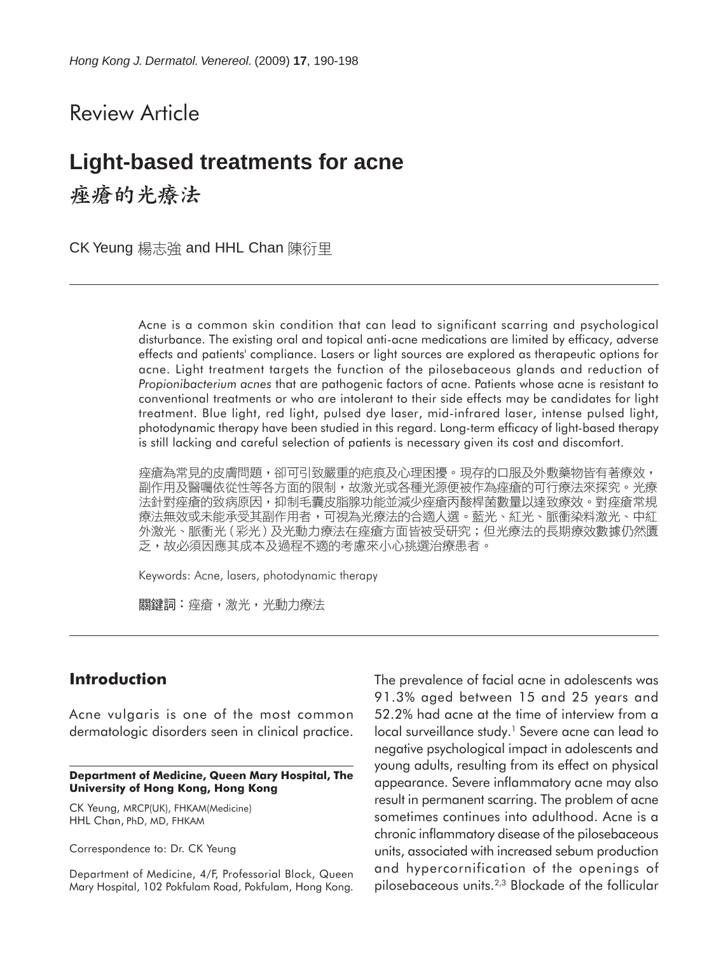# Review Article

# **Light-based treatments for acne**

痤瘡的光療法

CK Yeung 楊志強 and HHL Chan 陳衍里

Acne is a common skin condition that can lead to significant scarring and psychological disturbance. The existing oral and topical anti-acne medications are limited by efficacy, adverse effects and patients' compliance. Lasers or light sources are explored as therapeutic options for acne. Light treatment targets the function of the pilosebaceous glands and reduction of *Propionibacterium acnes* that are pathogenic factors of acne. Patients whose acne is resistant to conventional treatments or who are intolerant to their side effects may be candidates for light treatment. Blue light, red light, pulsed dye laser, mid-infrared laser, intense pulsed light, photodynamic therapy have been studied in this regard. Long-term efficacy of light-based therapy is still lacking and careful selection of patients is necessary given its cost and discomfort.

痤瘡為常見的皮膚問題,卻可引致嚴重的疤痕及心理困擾。現存的口服及外敷藥物皆有著療效, 副作用及醫囑依從性等各方面的限制,故激光或各種光源便被作為痤瘡的可行療法來探究。光療 法針對痤瘡的致病原因,抑制毛囊皮脂腺功能並減少痤瘡丙酸桿菌數量以達致療效。對痤瘡常規 療法無效或未能承受其副作用者,可視為光療法的合適人選。藍光、紅光、脈衝染料激光、中紅 外激光、脈衝光 (彩光) 及光動力療法在痤瘡方面皆被受研究;但光療法的長期療效數據仍然匱 乏,故必須因應其成本及過程不適的考慮來小心挑選治療患者。

Keywords: Acne, lasers, photodynamic therapy

關鍵詞:痤瘡,激光,光動力療法

## **Introduction**

Acne vulgaris is one of the most common dermatologic disorders seen in clinical practice.

**Department of Medicine, Queen Mary Hospital, The University of Hong Kong, Hong Kong**

CK Yeung, MRCP(UK), FHKAM(Medicine) HHL Chan, PhD, MD, FHKAM

Correspondence to: Dr. CK Yeung

Department of Medicine, 4/F, Professorial Block, Queen Mary Hospital, 102 Pokfulam Road, Pokfulam, Hong Kong. The prevalence of facial acne in adolescents was 91.3% aged between 15 and 25 years and 52.2% had acne at the time of interview from a local surveillance study.<sup>1</sup> Severe acne can lead to negative psychological impact in adolescents and young adults, resulting from its effect on physical appearance. Severe inflammatory acne may also result in permanent scarring. The problem of acne sometimes continues into adulthood. Acne is a chronic inflammatory disease of the pilosebaceous units, associated with increased sebum production and hypercornification of the openings of pilosebaceous units.2,3 Blockade of the follicular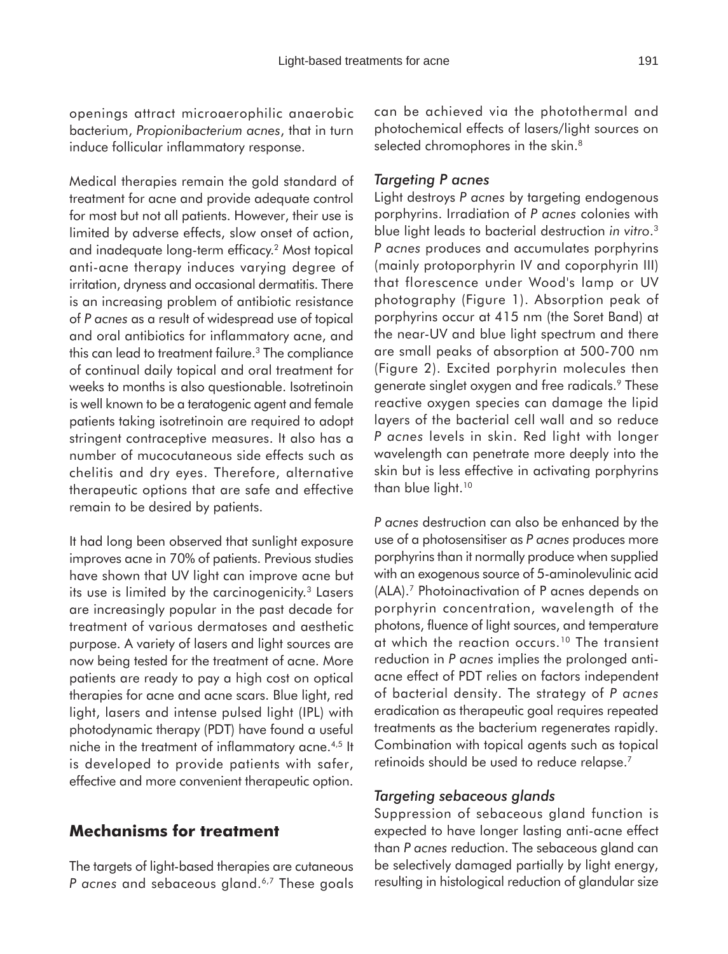openings attract microaerophilic anaerobic bacterium, *Propionibacterium acnes*, that in turn induce follicular inflammatory response.

Medical therapies remain the gold standard of treatment for acne and provide adequate control for most but not all patients. However, their use is limited by adverse effects, slow onset of action, and inadequate long-term efficacy.2 Most topical anti-acne therapy induces varying degree of irritation, dryness and occasional dermatitis. There is an increasing problem of antibiotic resistance of *P acnes* as a result of widespread use of topical and oral antibiotics for inflammatory acne, and this can lead to treatment failure.<sup>3</sup> The compliance of continual daily topical and oral treatment for weeks to months is also questionable. Isotretinoin is well known to be a teratogenic agent and female patients taking isotretinoin are required to adopt stringent contraceptive measures. It also has a number of mucocutaneous side effects such as chelitis and dry eyes. Therefore, alternative therapeutic options that are safe and effective remain to be desired by patients.

It had long been observed that sunlight exposure improves acne in 70% of patients. Previous studies have shown that UV light can improve acne but its use is limited by the carcinogenicity.<sup>3</sup> Lasers are increasingly popular in the past decade for treatment of various dermatoses and aesthetic purpose. A variety of lasers and light sources are now being tested for the treatment of acne. More patients are ready to pay a high cost on optical therapies for acne and acne scars. Blue light, red light, lasers and intense pulsed light (IPL) with photodynamic therapy (PDT) have found a useful niche in the treatment of inflammatory acne.4,5 It is developed to provide patients with safer, effective and more convenient therapeutic option.

## **Mechanisms for treatment**

The targets of light-based therapies are cutaneous P acnes and sebaceous gland.<sup>6,7</sup> These goals can be achieved via the photothermal and photochemical effects of lasers/light sources on selected chromophores in the skin.<sup>8</sup>

#### *Targeting P acnes*

Light destroys *P acnes* by targeting endogenous porphyrins. Irradiation of *P acnes* colonies with blue light leads to bacterial destruction *in vitro*. 3 *P acnes* produces and accumulates porphyrins (mainly protoporphyrin IV and coporphyrin III) that florescence under Wood's lamp or UV photography (Figure 1). Absorption peak of porphyrins occur at 415 nm (the Soret Band) at the near-UV and blue light spectrum and there are small peaks of absorption at 500-700 nm (Figure 2). Excited porphyrin molecules then generate singlet oxygen and free radicals.9 These reactive oxygen species can damage the lipid layers of the bacterial cell wall and so reduce *P acnes* levels in skin. Red light with longer wavelength can penetrate more deeply into the skin but is less effective in activating porphyrins than blue light.<sup>10</sup>

*P acnes* destruction can also be enhanced by the use of a photosensitiser as *P acnes* produces more porphyrins than it normally produce when supplied with an exogenous source of 5-aminolevulinic acid (ALA).7 Photoinactivation of P acnes depends on porphyrin concentration, wavelength of the photons, fluence of light sources, and temperature at which the reaction occurs.<sup>10</sup> The transient reduction in *P acnes* implies the prolonged antiacne effect of PDT relies on factors independent of bacterial density. The strategy of *P acnes* eradication as therapeutic goal requires repeated treatments as the bacterium regenerates rapidly. Combination with topical agents such as topical retinoids should be used to reduce relapse.7

#### *Targeting sebaceous glands*

Suppression of sebaceous gland function is expected to have longer lasting anti-acne effect than *P acnes* reduction. The sebaceous gland can be selectively damaged partially by light energy, resulting in histological reduction of glandular size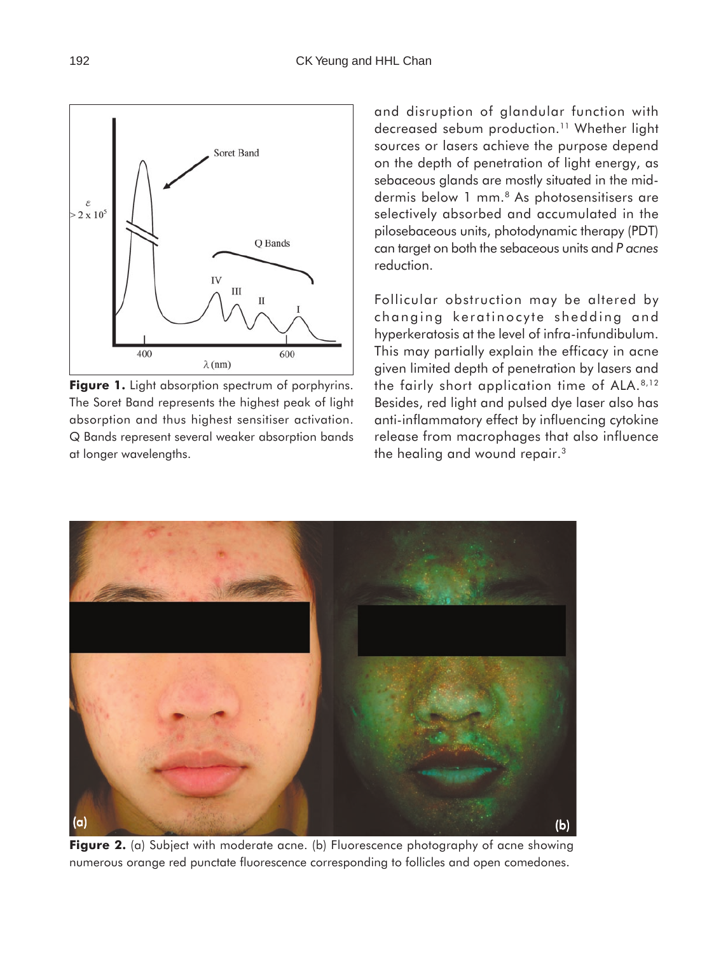

Figure 1. Light absorption spectrum of porphyrins. The Soret Band represents the highest peak of light absorption and thus highest sensitiser activation. Q Bands represent several weaker absorption bands at longer wavelengths.

and disruption of glandular function with decreased sebum production.<sup>11</sup> Whether light sources or lasers achieve the purpose depend on the depth of penetration of light energy, as sebaceous glands are mostly situated in the middermis below 1 mm.<sup>8</sup> As photosensitisers are selectively absorbed and accumulated in the pilosebaceous units, photodynamic therapy (PDT) can target on both the sebaceous units and *P acnes* reduction.

Follicular obstruction may be altered by changing keratinocyte shedding and hyperkeratosis at the level of infra-infundibulum. This may partially explain the efficacy in acne given limited depth of penetration by lasers and the fairly short application time of ALA.8,12 Besides, red light and pulsed dye laser also has anti-inflammatory effect by influencing cytokine release from macrophages that also influence the healing and wound repair.<sup>3</sup>



**Figure 2.** (a) Subject with moderate acne. (b) Fluorescence photography of acne showing numerous orange red punctate fluorescence corresponding to follicles and open comedones.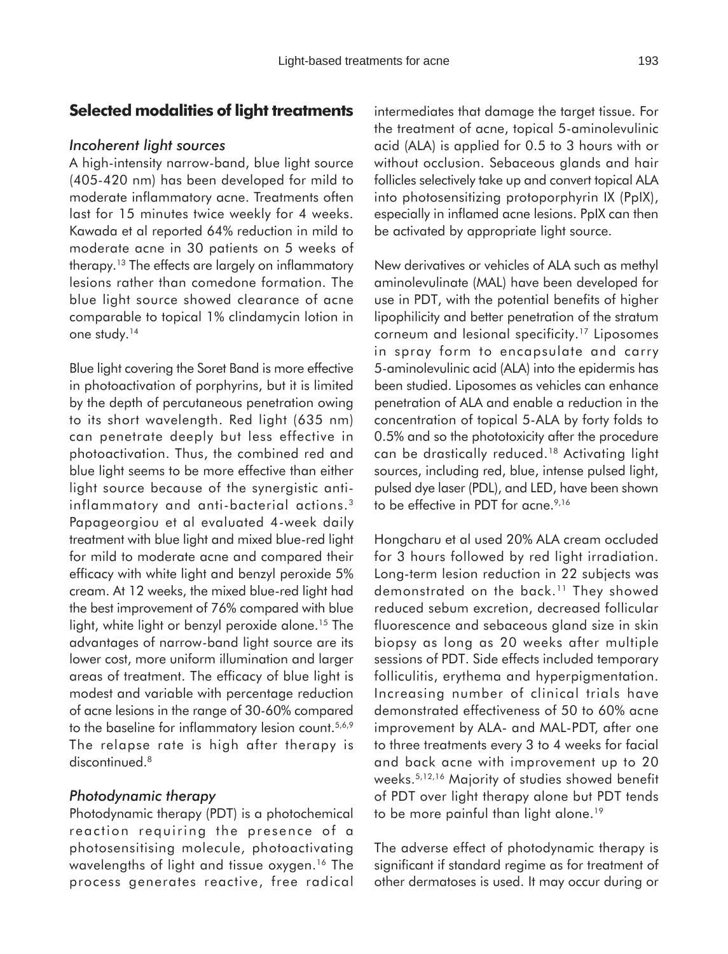# **Selected modalities of light treatments**

#### *Incoherent light sources*

A high-intensity narrow-band, blue light source (405-420 nm) has been developed for mild to moderate inflammatory acne. Treatments often last for 15 minutes twice weekly for 4 weeks. Kawada et al reported 64% reduction in mild to moderate acne in 30 patients on 5 weeks of therapy.13 The effects are largely on inflammatory lesions rather than comedone formation. The blue light source showed clearance of acne comparable to topical 1% clindamycin lotion in one study.14

Blue light covering the Soret Band is more effective in photoactivation of porphyrins, but it is limited by the depth of percutaneous penetration owing to its short wavelength. Red light (635 nm) can penetrate deeply but less effective in photoactivation. Thus, the combined red and blue light seems to be more effective than either light source because of the synergistic antiinflammatory and anti-bacterial actions.3 Papageorgiou et al evaluated 4-week daily treatment with blue light and mixed blue-red light for mild to moderate acne and compared their efficacy with white light and benzyl peroxide 5% cream. At 12 weeks, the mixed blue-red light had the best improvement of 76% compared with blue light, white light or benzyl peroxide alone.<sup>15</sup> The advantages of narrow-band light source are its lower cost, more uniform illumination and larger areas of treatment. The efficacy of blue light is modest and variable with percentage reduction of acne lesions in the range of 30-60% compared to the baseline for inflammatory lesion count.<sup>5,6,9</sup> The relapse rate is high after therapy is discontinued.<sup>8</sup>

#### *Photodynamic therapy*

Photodynamic therapy (PDT) is a photochemical reaction requiring the presence of a photosensitising molecule, photoactivating wavelengths of light and tissue oxygen.<sup>16</sup> The process generates reactive, free radical intermediates that damage the target tissue. For the treatment of acne, topical 5-aminolevulinic acid (ALA) is applied for 0.5 to 3 hours with or without occlusion. Sebaceous glands and hair follicles selectively take up and convert topical ALA into photosensitizing protoporphyrin IX (PpIX), especially in inflamed acne lesions. PpIX can then be activated by appropriate light source.

New derivatives or vehicles of ALA such as methyl aminolevulinate (MAL) have been developed for use in PDT, with the potential benefits of higher lipophilicity and better penetration of the stratum corneum and lesional specificity.17 Liposomes in spray form to encapsulate and carry 5-aminolevulinic acid (ALA) into the epidermis has been studied. Liposomes as vehicles can enhance penetration of ALA and enable a reduction in the concentration of topical 5-ALA by forty folds to 0.5% and so the phototoxicity after the procedure can be drastically reduced.18 Activating light sources, including red, blue, intense pulsed light, pulsed dye laser (PDL), and LED, have been shown to be effective in PDT for acne.<sup>9,16</sup>

Hongcharu et al used 20% ALA cream occluded for 3 hours followed by red light irradiation. Long-term lesion reduction in 22 subjects was demonstrated on the back.11 They showed reduced sebum excretion, decreased follicular fluorescence and sebaceous gland size in skin biopsy as long as 20 weeks after multiple sessions of PDT. Side effects included temporary folliculitis, erythema and hyperpigmentation. Increasing number of clinical trials have demonstrated effectiveness of 50 to 60% acne improvement by ALA- and MAL-PDT, after one to three treatments every 3 to 4 weeks for facial and back acne with improvement up to 20 weeks.5,12,16 Majority of studies showed benefit of PDT over light therapy alone but PDT tends to be more painful than light alone.<sup>19</sup>

The adverse effect of photodynamic therapy is significant if standard regime as for treatment of other dermatoses is used. It may occur during or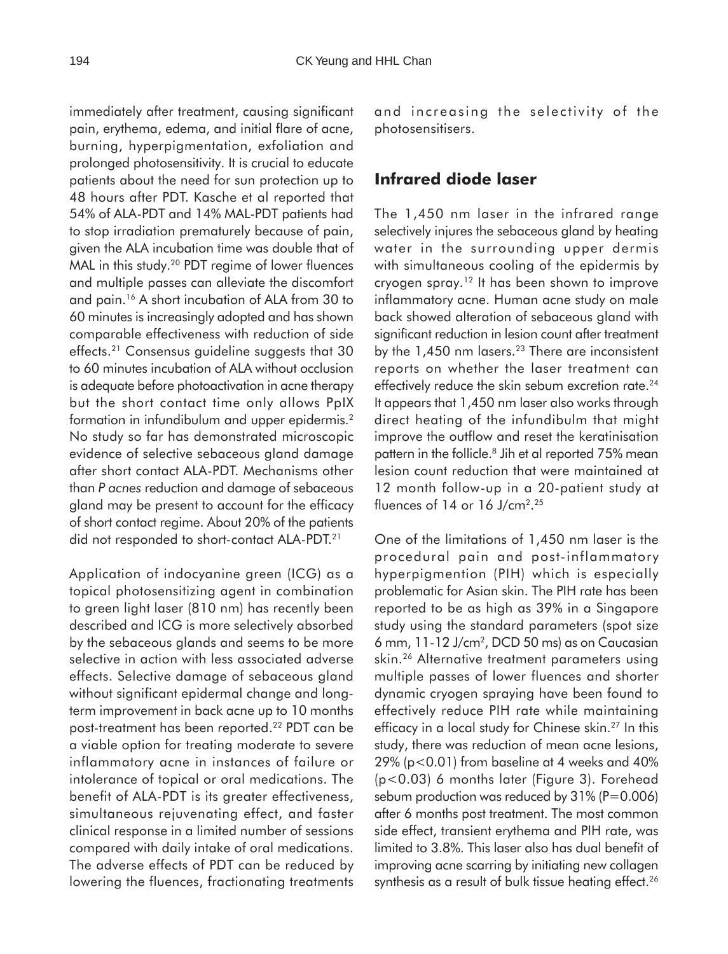immediately after treatment, causing significant pain, erythema, edema, and initial flare of acne, burning, hyperpigmentation, exfoliation and prolonged photosensitivity. It is crucial to educate patients about the need for sun protection up to 48 hours after PDT. Kasche et al reported that 54% of ALA-PDT and 14% MAL-PDT patients had to stop irradiation prematurely because of pain, given the ALA incubation time was double that of

MAL in this study.<sup>20</sup> PDT regime of lower fluences and multiple passes can alleviate the discomfort and pain.16 A short incubation of ALA from 30 to 60 minutes is increasingly adopted and has shown comparable effectiveness with reduction of side effects.21 Consensus guideline suggests that 30 to 60 minutes incubation of ALA without occlusion is adequate before photoactivation in acne therapy but the short contact time only allows PpIX formation in infundibulum and upper epidermis.<sup>2</sup> No study so far has demonstrated microscopic evidence of selective sebaceous gland damage after short contact ALA-PDT. Mechanisms other than *P acnes* reduction and damage of sebaceous gland may be present to account for the efficacy of short contact regime. About 20% of the patients did not responded to short-contact ALA-PDT.21

Application of indocyanine green (ICG) as a topical photosensitizing agent in combination to green light laser (810 nm) has recently been described and ICG is more selectively absorbed by the sebaceous glands and seems to be more selective in action with less associated adverse effects. Selective damage of sebaceous gland without significant epidermal change and longterm improvement in back acne up to 10 months post-treatment has been reported.22 PDT can be a viable option for treating moderate to severe inflammatory acne in instances of failure or intolerance of topical or oral medications. The benefit of ALA-PDT is its greater effectiveness, simultaneous rejuvenating effect, and faster clinical response in a limited number of sessions compared with daily intake of oral medications. The adverse effects of PDT can be reduced by lowering the fluences, fractionating treatments and increasing the selectivity of the photosensitisers.

## **Infrared diode laser**

The 1,450 nm laser in the infrared range selectively injures the sebaceous gland by heating water in the surrounding upper dermis with simultaneous cooling of the epidermis by cryogen spray.12 It has been shown to improve inflammatory acne. Human acne study on male back showed alteration of sebaceous gland with significant reduction in lesion count after treatment by the  $1,450$  nm lasers.<sup>23</sup> There are inconsistent reports on whether the laser treatment can effectively reduce the skin sebum excretion rate.<sup>24</sup> It appears that 1,450 nm laser also works through direct heating of the infundibulm that might improve the outflow and reset the keratinisation pattern in the follicle.<sup>8</sup> Jih et al reported 75% mean lesion count reduction that were maintained at 12 month follow-up in a 20-patient study at fluences of 14 or 16 J/cm2. 25

One of the limitations of 1,450 nm laser is the procedural pain and post-inflammatory hyperpigmention (PIH) which is especially problematic for Asian skin. The PIH rate has been reported to be as high as 39% in a Singapore study using the standard parameters (spot size 6 mm, 11-12 J/cm2, DCD 50 ms) as on Caucasian skin.26 Alternative treatment parameters using multiple passes of lower fluences and shorter dynamic cryogen spraying have been found to effectively reduce PIH rate while maintaining efficacy in a local study for Chinese skin.<sup>27</sup> In this study, there was reduction of mean acne lesions, 29% (p<0.01) from baseline at 4 weeks and 40% (p<0.03) 6 months later (Figure 3). Forehead sebum production was reduced by 31% (P=0.006) after 6 months post treatment. The most common side effect, transient erythema and PIH rate, was limited to 3.8%. This laser also has dual benefit of improving acne scarring by initiating new collagen synthesis as a result of bulk tissue heating effect.<sup>26</sup>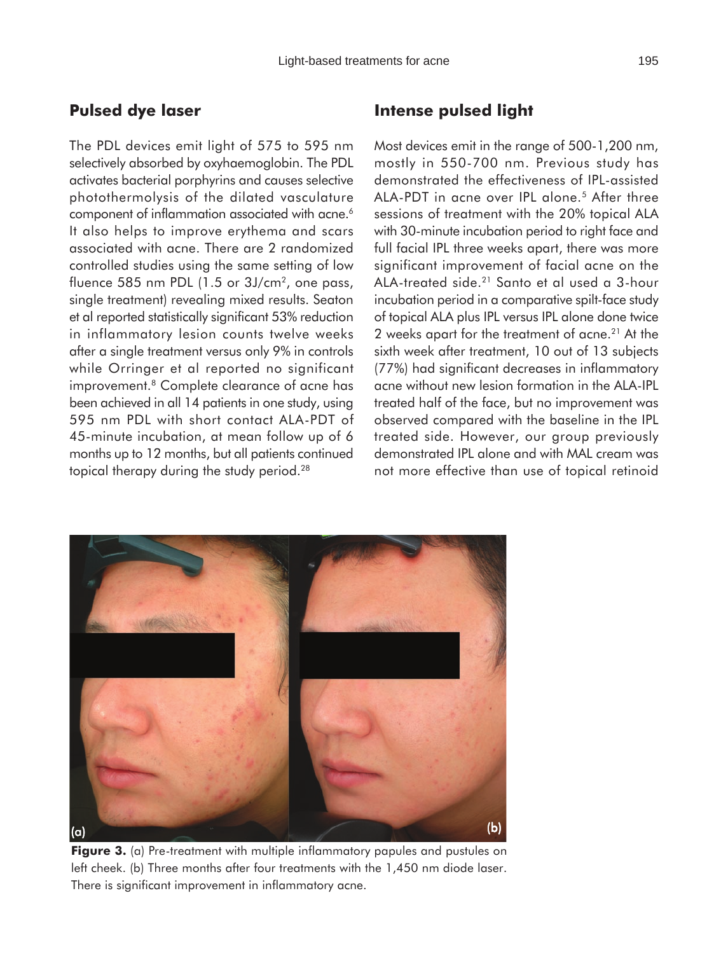# **Pulsed dye laser**

The PDL devices emit light of 575 to 595 nm selectively absorbed by oxyhaemoglobin. The PDL activates bacterial porphyrins and causes selective photothermolysis of the dilated vasculature component of inflammation associated with acne.<sup>6</sup> It also helps to improve erythema and scars associated with acne. There are 2 randomized controlled studies using the same setting of low fluence 585 nm PDL (1.5 or 3J/cm<sup>2</sup>, one pass, single treatment) revealing mixed results. Seaton et al reported statistically significant 53% reduction in inflammatory lesion counts twelve weeks after a single treatment versus only 9% in controls while Orringer et al reported no significant improvement.8 Complete clearance of acne has been achieved in all 14 patients in one study, using 595 nm PDL with short contact ALA-PDT of 45-minute incubation, at mean follow up of 6 months up to 12 months, but all patients continued topical therapy during the study period.<sup>28</sup>

# **Intense pulsed light**

Most devices emit in the range of 500-1,200 nm, mostly in 550-700 nm. Previous study has demonstrated the effectiveness of IPL-assisted ALA-PDT in acne over IPL alone.<sup>5</sup> After three sessions of treatment with the 20% topical ALA with 30-minute incubation period to right face and full facial IPL three weeks apart, there was more significant improvement of facial acne on the ALA-treated side.21 Santo et al used a 3-hour incubation period in a comparative spilt-face study of topical ALA plus IPL versus IPL alone done twice 2 weeks apart for the treatment of acne.<sup>21</sup> At the sixth week after treatment, 10 out of 13 subjects (77%) had significant decreases in inflammatory acne without new lesion formation in the ALA-IPL treated half of the face, but no improvement was observed compared with the baseline in the IPL treated side. However, our group previously demonstrated IPL alone and with MAL cream was not more effective than use of topical retinoid



**Figure 3.** (a) Pre-treatment with multiple inflammatory papules and pustules on left cheek. (b) Three months after four treatments with the 1,450 nm diode laser. There is significant improvement in inflammatory acne.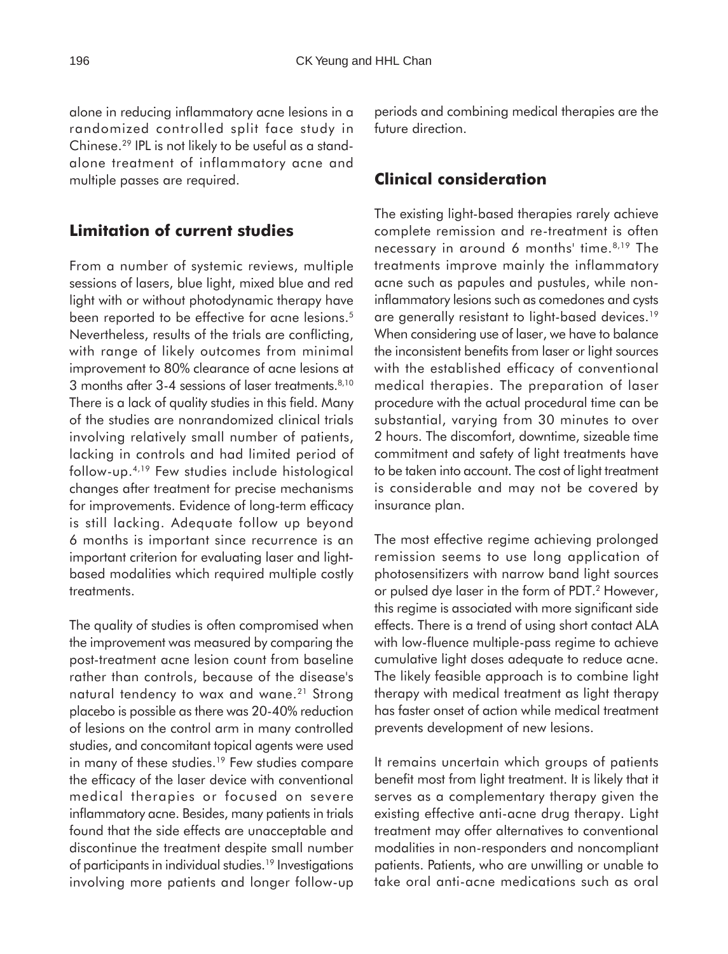alone in reducing inflammatory acne lesions in a randomized controlled split face study in Chinese.29 IPL is not likely to be useful as a standalone treatment of inflammatory acne and multiple passes are required.

# **Limitation of current studies**

From a number of systemic reviews, multiple sessions of lasers, blue light, mixed blue and red light with or without photodynamic therapy have been reported to be effective for acne lesions.<sup>5</sup> Nevertheless, results of the trials are conflicting, with range of likely outcomes from minimal improvement to 80% clearance of acne lesions at 3 months after 3-4 sessions of laser treatments.<sup>8,10</sup> There is a lack of quality studies in this field. Many of the studies are nonrandomized clinical trials involving relatively small number of patients, lacking in controls and had limited period of follow-up.4,19 Few studies include histological changes after treatment for precise mechanisms for improvements. Evidence of long-term efficacy is still lacking. Adequate follow up beyond 6 months is important since recurrence is an important criterion for evaluating laser and lightbased modalities which required multiple costly treatments.

The quality of studies is often compromised when the improvement was measured by comparing the post-treatment acne lesion count from baseline rather than controls, because of the disease's natural tendency to wax and wane.<sup>21</sup> Strong placebo is possible as there was 20-40% reduction of lesions on the control arm in many controlled studies, and concomitant topical agents were used in many of these studies.19 Few studies compare the efficacy of the laser device with conventional medical therapies or focused on severe inflammatory acne. Besides, many patients in trials found that the side effects are unacceptable and discontinue the treatment despite small number of participants in individual studies.19 Investigations involving more patients and longer follow-up periods and combining medical therapies are the future direction.

# **Clinical consideration**

The existing light-based therapies rarely achieve complete remission and re-treatment is often necessary in around 6 months' time.<sup>8,19</sup> The treatments improve mainly the inflammatory acne such as papules and pustules, while noninflammatory lesions such as comedones and cysts are generally resistant to light-based devices.<sup>19</sup> When considering use of laser, we have to balance the inconsistent benefits from laser or light sources with the established efficacy of conventional medical therapies. The preparation of laser procedure with the actual procedural time can be substantial, varying from 30 minutes to over 2 hours. The discomfort, downtime, sizeable time commitment and safety of light treatments have to be taken into account. The cost of light treatment is considerable and may not be covered by insurance plan.

The most effective regime achieving prolonged remission seems to use long application of photosensitizers with narrow band light sources or pulsed dye laser in the form of PDT.2 However, this regime is associated with more significant side effects. There is a trend of using short contact ALA with low-fluence multiple-pass regime to achieve cumulative light doses adequate to reduce acne. The likely feasible approach is to combine light therapy with medical treatment as light therapy has faster onset of action while medical treatment prevents development of new lesions.

It remains uncertain which groups of patients benefit most from light treatment. It is likely that it serves as a complementary therapy given the existing effective anti-acne drug therapy. Light treatment may offer alternatives to conventional modalities in non-responders and noncompliant patients. Patients, who are unwilling or unable to take oral anti-acne medications such as oral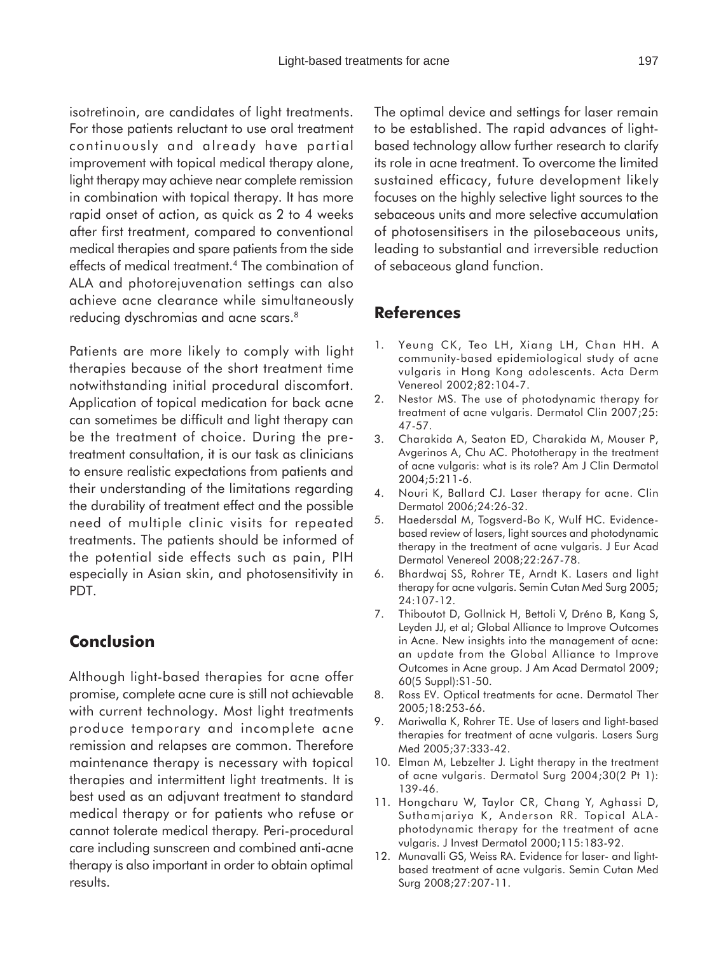isotretinoin, are candidates of light treatments. For those patients reluctant to use oral treatment continuously and already have partial improvement with topical medical therapy alone, light therapy may achieve near complete remission in combination with topical therapy. It has more rapid onset of action, as quick as 2 to 4 weeks after first treatment, compared to conventional medical therapies and spare patients from the side effects of medical treatment.4 The combination of ALA and photorejuvenation settings can also achieve acne clearance while simultaneously reducing dyschromias and acne scars.<sup>8</sup>

Patients are more likely to comply with light therapies because of the short treatment time notwithstanding initial procedural discomfort. Application of topical medication for back acne can sometimes be difficult and light therapy can be the treatment of choice. During the pretreatment consultation, it is our task as clinicians to ensure realistic expectations from patients and their understanding of the limitations regarding the durability of treatment effect and the possible need of multiple clinic visits for repeated treatments. The patients should be informed of the potential side effects such as pain, PIH especially in Asian skin, and photosensitivity in PDT.

# **Conclusion**

Although light-based therapies for acne offer promise, complete acne cure is still not achievable with current technology. Most light treatments produce temporary and incomplete acne remission and relapses are common. Therefore maintenance therapy is necessary with topical therapies and intermittent light treatments. It is best used as an adjuvant treatment to standard medical therapy or for patients who refuse or cannot tolerate medical therapy. Peri-procedural care including sunscreen and combined anti-acne therapy is also important in order to obtain optimal results.

The optimal device and settings for laser remain to be established. The rapid advances of lightbased technology allow further research to clarify its role in acne treatment. To overcome the limited sustained efficacy, future development likely focuses on the highly selective light sources to the sebaceous units and more selective accumulation of photosensitisers in the pilosebaceous units, leading to substantial and irreversible reduction of sebaceous gland function.

# **References**

- 1. Yeung CK, Teo LH, Xiang LH, Chan HH. A community-based epidemiological study of acne vulgaris in Hong Kong adolescents. Acta Derm Venereol 2002;82:104-7.
- 2. Nestor MS. The use of photodynamic therapy for treatment of acne vulgaris. Dermatol Clin 2007;25: 47-57.
- 3. Charakida A, Seaton ED, Charakida M, Mouser P, Avgerinos A, Chu AC. Phototherapy in the treatment of acne vulgaris: what is its role? Am J Clin Dermatol 2004;5:211-6.
- 4. Nouri K, Ballard CJ. Laser therapy for acne. Clin Dermatol 2006;24:26-32.
- 5. Haedersdal M, Togsverd-Bo K, Wulf HC. Evidencebased review of lasers, light sources and photodynamic therapy in the treatment of acne vulgaris. J Eur Acad Dermatol Venereol 2008;22:267-78.
- 6. Bhardwaj SS, Rohrer TE, Arndt K. Lasers and light therapy for acne vulgaris. Semin Cutan Med Surg 2005; 24:107-12.
- 7. Thiboutot D, Gollnick H, Bettoli V, Dréno B, Kang S, Leyden JJ, et al; Global Alliance to Improve Outcomes in Acne. New insights into the management of acne: an update from the Global Alliance to Improve Outcomes in Acne group. J Am Acad Dermatol 2009; 60(5 Suppl):S1-50.
- 8. Ross EV. Optical treatments for acne. Dermatol Ther 2005;18:253-66.
- 9. Mariwalla K, Rohrer TE. Use of lasers and light-based therapies for treatment of acne vulgaris. Lasers Surg Med 2005;37:333-42.
- 10. Elman M, Lebzelter J. Light therapy in the treatment of acne vulgaris. Dermatol Surg 2004;30(2 Pt 1): 139-46.
- 11. Hongcharu W, Taylor CR, Chang Y, Aghassi D, Suthamjariya K, Anderson RR. Topical ALAphotodynamic therapy for the treatment of acne vulgaris. J Invest Dermatol 2000;115:183-92.
- 12. Munavalli GS, Weiss RA. Evidence for laser- and lightbased treatment of acne vulgaris. Semin Cutan Med Surg 2008;27:207-11.